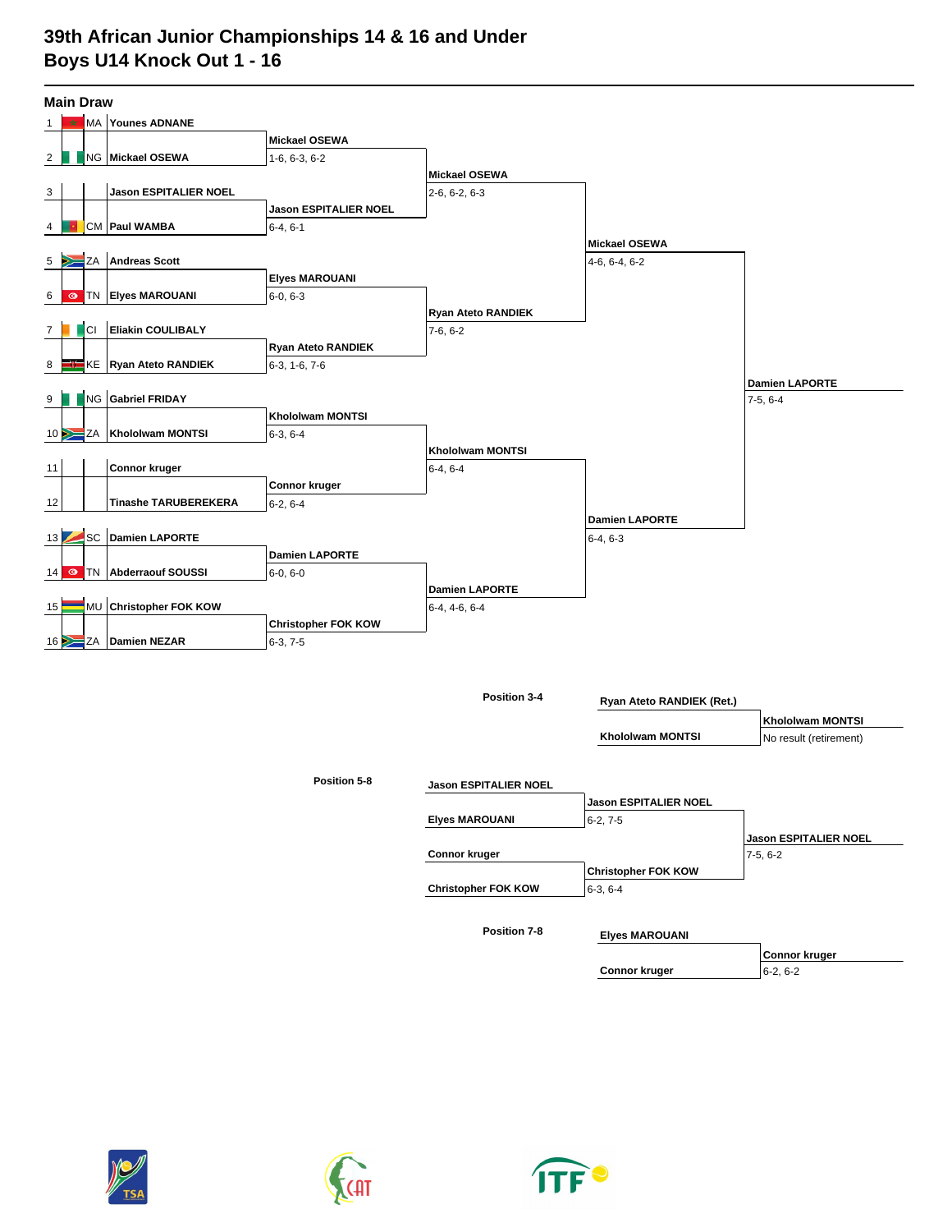## **39th African Junior Championships 14 & 16 and Under Boys U14 Knock Out 1 - 16**

| <b>Main Draw</b><br>Younes ADNANE<br>MA<br>$\mathbf{1}$<br>*      |                              |
|-------------------------------------------------------------------|------------------------------|
|                                                                   |                              |
| <b>Mickael OSEWA</b>                                              |                              |
| NG Mickael OSEWA<br>$1-6, 6-3, 6-2$<br>2                          |                              |
| <b>Mickael OSEWA</b>                                              |                              |
| <b>Jason ESPITALIER NOEL</b><br>3<br>$2-6, 6-2, 6-3$              |                              |
| <b>Jason ESPITALIER NOEL</b>                                      |                              |
| CM   Paul WAMBA<br>$6-4, 6-1$<br>4                                |                              |
| <b>Mickael OSEWA</b>                                              |                              |
| <b>Andreas Scott</b><br>4-6, 6-4, 6-2<br>ΖA<br>5                  |                              |
| <b>Elyes MAROUANI</b>                                             |                              |
| <b>Elyes MAROUANI</b><br>$6-0, 6-3$<br>TN<br>Q<br>6               |                              |
| <b>Ryan Ateto RANDIEK</b><br><b>Eliakin COULIBALY</b>             |                              |
| CI<br>$7-6, 6-2$<br><b>Ryan Ateto RANDIEK</b>                     |                              |
| KE Ryan Ateto RANDIEK<br>6-3, 1-6, 7-6<br>8                       |                              |
|                                                                   | <b>Damien LAPORTE</b>        |
| <b>Gabriel FRIDAY</b><br>$\overline{\big }$ NG<br>$7-5, 6-4$<br>9 |                              |
| <b>Khololwam MONTSI</b>                                           |                              |
| Khololwam MONTSI<br>ΖA<br>$6-3, 6-4$<br>10                        |                              |
| <b>Khololwam MONTSI</b>                                           |                              |
| <b>Connor kruger</b><br>$6-4, 6-4$<br>11                          |                              |
| Connor kruger                                                     |                              |
| <b>Tinashe TARUBEREKERA</b><br>12<br>$6-2, 6-4$                   |                              |
| <b>Damien LAPORTE</b>                                             |                              |
| <b>Damien LAPORTE</b><br>SC<br>$6-4, 6-3$<br>13 <sup>1</sup>      |                              |
| <b>Damien LAPORTE</b><br><b>Abderraouf SOUSSI</b><br>TN           |                              |
| 6-0, 6-0<br>14<br><b>Damien LAPORTE</b>                           |                              |
| Christopher FOK KOW<br>MU<br>15<br>6-4, 4-6, 6-4                  |                              |
| <b>Christopher FOK KOW</b>                                        |                              |
| <b>Damien NEZAR</b><br>ΖA<br>$6-3, 7-5$<br>16                     |                              |
|                                                                   |                              |
|                                                                   |                              |
| Position 3-4<br>Ryan Ateto RANDIEK (Ret.)                         |                              |
|                                                                   | Khololwam MONTSI             |
| Khololwam MONTSI                                                  | No result (retirement)       |
|                                                                   |                              |
|                                                                   |                              |
| Position 5-8<br><b>Jason ESPITALIER NOEL</b>                      |                              |
| <b>Jason ESPITALIER NOEL</b>                                      |                              |
| <b>Elyes MAROUANI</b><br>$6-2, 7-5$                               |                              |
|                                                                   | <b>Jason ESPITALIER NOEL</b> |
| <b>Connor kruger</b><br>$7-5, 6-2$<br>Christopher FOK KOW         |                              |
| $6-3, 6-4$<br><b>Christopher FOK KOW</b>                          |                              |
|                                                                   |                              |
|                                                                   |                              |
| Position 7-8<br><b>Elyes MAROUANI</b>                             |                              |
|                                                                   | Connor kruger                |
| <b>Connor kruger</b>                                              | $6-2, 6-2$                   |





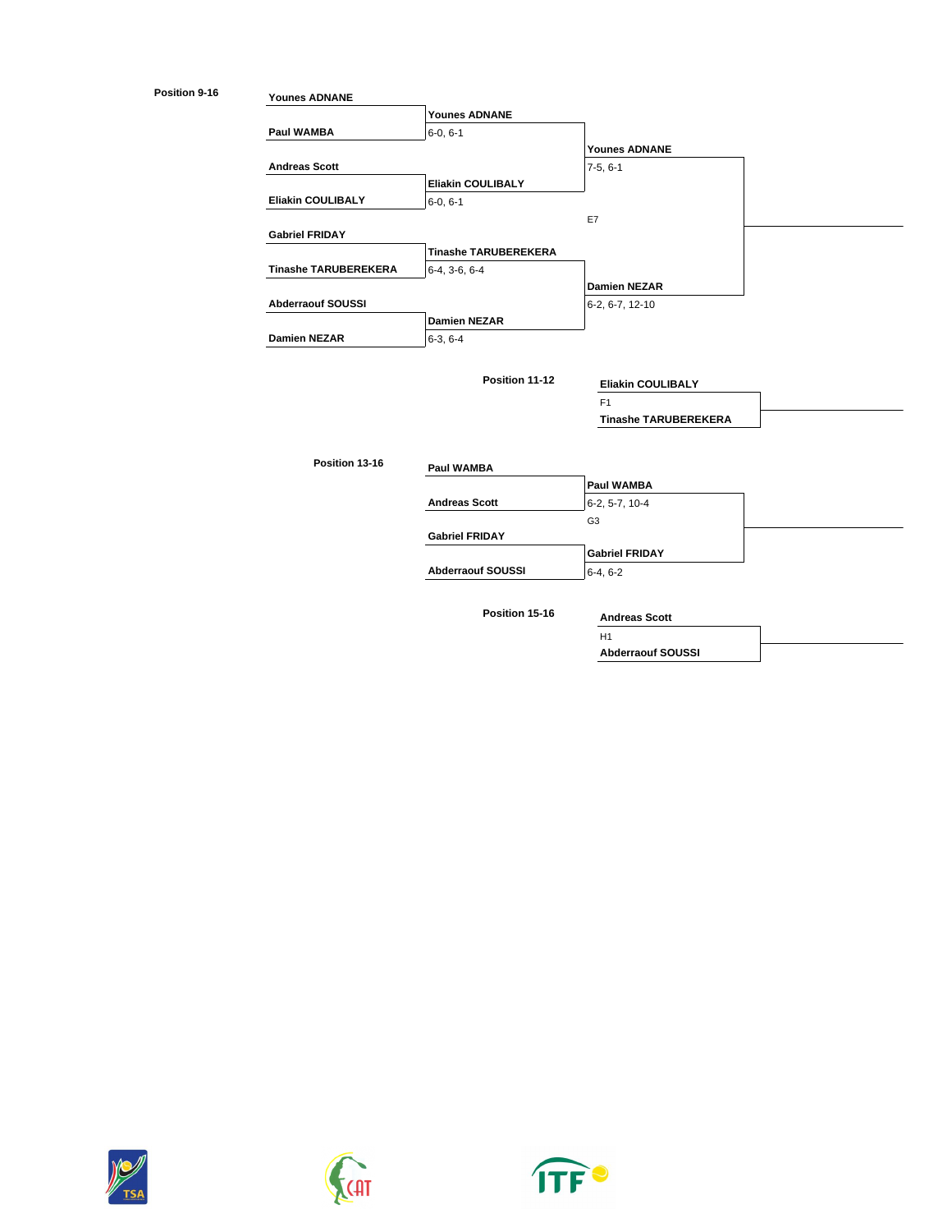## **Position 9-16**

#### **Younes ADNANE**

|                             | <b>Younes ADNANE</b>        |                      |  |
|-----------------------------|-----------------------------|----------------------|--|
| Paul WAMBA                  | $6-0, 6-1$                  |                      |  |
|                             |                             | <b>Younes ADNANE</b> |  |
| <b>Andreas Scott</b>        |                             | $7-5, 6-1$           |  |
|                             | <b>Eliakin COULIBALY</b>    |                      |  |
| <b>Eliakin COULIBALY</b>    | $6-0, 6-1$                  |                      |  |
|                             |                             | E7                   |  |
| <b>Gabriel FRIDAY</b>       |                             |                      |  |
|                             | <b>Tinashe TARUBEREKERA</b> |                      |  |
| <b>Tinashe TARUBEREKERA</b> | $6-4, 3-6, 6-4$             |                      |  |
|                             |                             | <b>Damien NEZAR</b>  |  |
| <b>Abderraouf SOUSSI</b>    |                             | 6-2, 6-7, 12-10      |  |
|                             | <b>Damien NEZAR</b>         |                      |  |
| <b>Damien NEZAR</b>         | $6-3, 6-4$                  |                      |  |
|                             |                             |                      |  |
|                             | Docition 11-12              | ________________     |  |

| Position 11-12 | <b>Eliakin COULIBALY</b>    |  |
|----------------|-----------------------------|--|
|                |                             |  |
|                | <b>Tinashe TARUBEREKERA</b> |  |

| <b>Andreas Scott</b>     | <b>Paul WAMBA</b>     |  |
|--------------------------|-----------------------|--|
|                          |                       |  |
|                          | $6-2, 5-7, 10-4$      |  |
|                          | G <sub>3</sub>        |  |
| <b>Gabriel FRIDAY</b>    |                       |  |
|                          | <b>Gabriel FRIDAY</b> |  |
| <b>Abderraouf SOUSSI</b> | 6-4, 6-2              |  |
|                          |                       |  |

**Position 15-16**

**Andreas Scott**

H1 **Abderraouf SOUSSI**





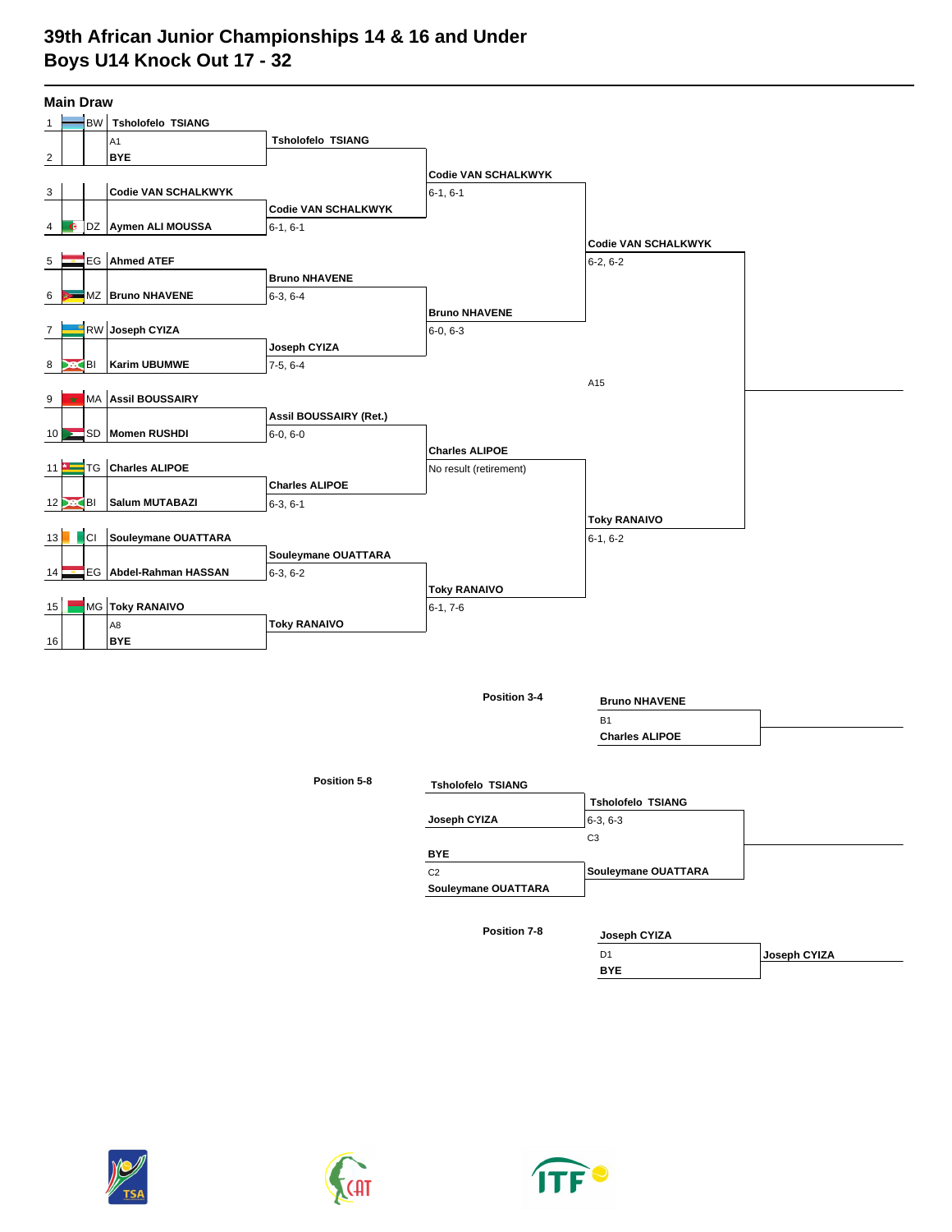# **39th African Junior Championships 14 & 16 and Under Boys U14 Knock Out 17 - 32**

|                   | <b>Main Draw</b> |           |                            |                            |                            |                     |  |
|-------------------|------------------|-----------|----------------------------|----------------------------|----------------------------|---------------------|--|
| 1                 |                  | <b>BW</b> | <b>Tsholofelo TSIANG</b>   |                            |                            |                     |  |
|                   |                  |           | A1                         | <b>Tsholofelo TSIANG</b>   |                            |                     |  |
| $\overline{2}$    |                  |           | <b>BYE</b>                 |                            |                            |                     |  |
|                   |                  |           |                            |                            | <b>Codie VAN SCHALKWYK</b> |                     |  |
| 3                 |                  |           | <b>Codie VAN SCHALKWYK</b> |                            | $6-1, 6-1$                 |                     |  |
|                   |                  |           |                            | <b>Codie VAN SCHALKWYK</b> |                            |                     |  |
| 4                 |                  |           | DZ Aymen ALI MOUSSA        | $6-1, 6-1$                 |                            |                     |  |
|                   |                  |           |                            |                            |                            | Codie VAN SCHALKWYK |  |
| 5                 |                  |           | EG Ahmed ATEF              |                            |                            | $6-2, 6-2$          |  |
|                   |                  |           |                            | <b>Bruno NHAVENE</b>       |                            |                     |  |
| 6                 |                  |           | MZ Bruno NHAVENE           | $6-3, 6-4$                 |                            |                     |  |
|                   |                  |           |                            |                            | <b>Bruno NHAVENE</b>       |                     |  |
| $\overline{7}$    |                  |           | RW Joseph CYIZA            |                            | $6-0, 6-3$                 |                     |  |
|                   |                  |           |                            | Joseph CYIZA               |                            |                     |  |
| 8                 |                  | BI        | <b>Karim UBUMWE</b>        | $7-5, 6-4$                 |                            |                     |  |
|                   |                  |           |                            |                            |                            | A15                 |  |
| 9                 | eb.              |           | MA Assil BOUSSAIRY         |                            |                            |                     |  |
|                   |                  |           |                            | Assil BOUSSAIRY (Ret.)     |                            |                     |  |
| 10                |                  |           | SD   Momen RUSHDI          | $6-0, 6-0$                 |                            |                     |  |
|                   |                  |           |                            |                            | <b>Charles ALIPOE</b>      |                     |  |
| 11                |                  | TG        | <b>Charles ALIPOE</b>      |                            | No result (retirement)     |                     |  |
|                   |                  |           |                            | <b>Charles ALIPOE</b>      |                            |                     |  |
| $12 \overline{ }$ |                  | BI        | Salum MUTABAZI             | $6-3, 6-1$                 |                            |                     |  |
|                   |                  |           |                            |                            |                            | <b>Toky RANAIVO</b> |  |
| 13                |                  | <b>CI</b> | Souleymane OUATTARA        |                            |                            | $6-1, 6-2$          |  |
|                   |                  |           |                            | Souleymane OUATTARA        |                            |                     |  |
| 14                |                  |           | EG Abdel-Rahman HASSAN     | $6-3, 6-2$                 |                            |                     |  |
|                   |                  |           |                            |                            | <b>Toky RANAIVO</b>        |                     |  |
| 15                |                  |           | MG Toky RANAIVO            |                            | $6-1, 7-6$                 |                     |  |
|                   |                  |           | A8                         | <b>Toky RANAIVO</b>        |                            |                     |  |
| 16                |                  |           | <b>BYE</b>                 |                            |                            |                     |  |

**Position 3-4**

B1 **Bruno NHAVENE**

**Charles ALIPOE**

**Position 5-8**

 **Tsholofelo TSIANG**

|                     | <b>Tsholofelo TSIANG</b> |  |
|---------------------|--------------------------|--|
| Joseph CYIZA        | $6-3, 6-3$               |  |
|                     | C <sub>3</sub>           |  |
| <b>BYE</b>          |                          |  |
| C <sub>2</sub>      | Souleymane OUATTARA      |  |
| Souleymane OUATTARA |                          |  |

**Position 7-8**

#### D<sub>1</sub> **Joseph CYIZA**

**BYE**

**Joseph CYIZA**